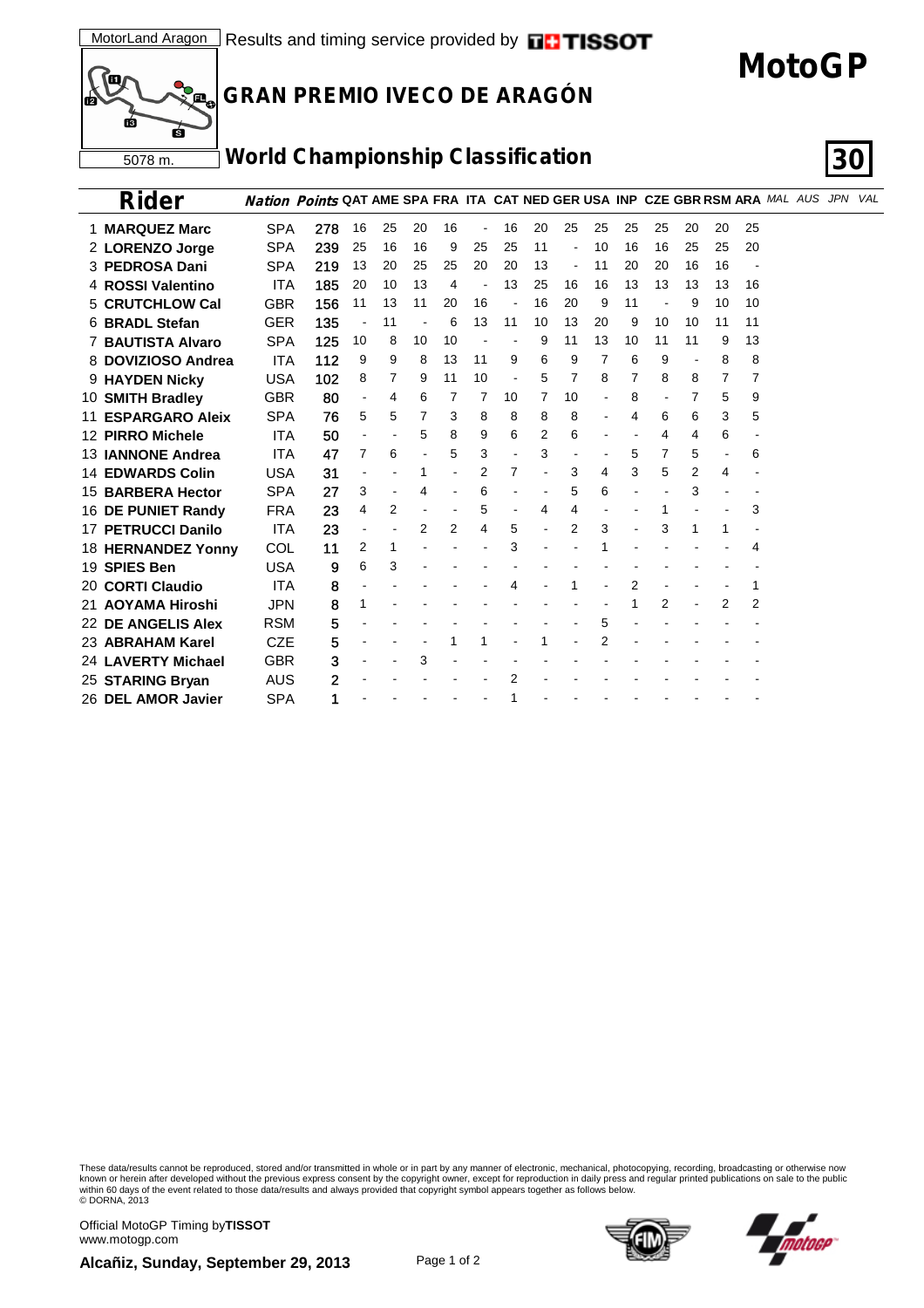# **MotoGP**



### **GRAN PREMIO IVECO DE ARAGÓN**

#### **World Championship Classification 30**



| Rider                   |            | Nation Points QAT AME SPA FRA ITA CAT NED GER USA INP CZE GBR RSM ARA MAL AUS JPN VAL |                |    |                |    |                          |    |    |                          |    |    |    |    |                |    |  |  |
|-------------------------|------------|---------------------------------------------------------------------------------------|----------------|----|----------------|----|--------------------------|----|----|--------------------------|----|----|----|----|----------------|----|--|--|
| 1 MARQUEZ Marc          | <b>SPA</b> | 278                                                                                   | 16             | 25 | 20             | 16 | $\overline{\phantom{a}}$ | 16 | 20 | 25                       | 25 | 25 | 25 | 20 | 20             | 25 |  |  |
| 2 LORENZO Jorge         | <b>SPA</b> | 239                                                                                   | 25             | 16 | 16             | 9  | 25                       | 25 | 11 |                          | 10 | 16 | 16 | 25 | 25             | 20 |  |  |
| 3 PEDROSA Dani          | <b>SPA</b> | 219                                                                                   | 13             | 20 | 25             | 25 | 20                       | 20 | 13 | $\overline{\phantom{a}}$ | 11 | 20 | 20 | 16 | 16             |    |  |  |
| 4 ROSSI Valentino       | <b>ITA</b> | 185                                                                                   | 20             | 10 | 13             | 4  |                          | 13 | 25 | 16                       | 16 | 13 | 13 | 13 | 13             | 16 |  |  |
| <b>5 CRUTCHLOW Cal</b>  | <b>GBR</b> | 156                                                                                   | 11             | 13 | 11             | 20 | 16                       |    | 16 | 20                       | 9  | 11 |    | 9  | 10             | 10 |  |  |
| 6 BRADL Stefan          | <b>GER</b> | 135                                                                                   |                | 11 |                | 6  | 13                       | 11 | 10 | 13                       | 20 | 9  | 10 | 10 | 11             | 11 |  |  |
| 7 BAUTISTA Alvaro       | <b>SPA</b> | 125                                                                                   | 10             | 8  | 10             | 10 |                          |    | 9  | 11                       | 13 | 10 | 11 | 11 | 9              | 13 |  |  |
| 8 DOVIZIOSO Andrea      | <b>ITA</b> | 112                                                                                   | 9              | 9  | 8              | 13 | 11                       | 9  | 6  | 9                        | 7  | 6  | 9  |    | 8              | 8  |  |  |
| 9 HAYDEN Nicky          | <b>USA</b> | 102                                                                                   | 8              | 7  | 9              | 11 | 10                       |    | 5  | 7                        | 8  | 7  | 8  | 8  | 7              | 7  |  |  |
| 10 SMITH Bradley        | <b>GBR</b> | 80                                                                                    | $\blacksquare$ | 4  | 6              | 7  | 7                        | 10 | 7  | 10                       |    | 8  |    | 7  | 5              | 9  |  |  |
| 11 ESPARGARO Aleix      | <b>SPA</b> | 76                                                                                    | 5              | 5  | 7              | 3  | 8                        | 8  | 8  | 8                        |    | 4  | 6  | 6  | 3              | 5  |  |  |
| 12 PIRRO Michele        | <b>ITA</b> | 50                                                                                    |                |    | 5              | 8  | 9                        | 6  | 2  | 6                        |    |    | 4  | 4  | 6              |    |  |  |
| 13 IANNONE Andrea       | <b>ITA</b> | 47                                                                                    | 7              | 6  |                | 5  | 3                        |    | 3  |                          |    | 5  | 7  | 5  | $\overline{a}$ | 6  |  |  |
| <b>14 EDWARDS Colin</b> | <b>USA</b> | 31                                                                                    |                |    | 1              |    | 2                        | 7  |    | 3                        | 4  | 3  | 5  | 2  | 4              |    |  |  |
| 15 BARBERA Hector       | <b>SPA</b> | 27                                                                                    | 3              |    | 4              |    | 6                        |    |    | 5                        | 6  |    |    | 3  |                |    |  |  |
| 16 DE PUNIET Randy      | <b>FRA</b> | 23                                                                                    | 4              | 2  |                |    | 5                        |    | 4  | 4                        |    |    |    |    |                | 3  |  |  |
| 17 PETRUCCI Danilo      | <b>ITA</b> | 23                                                                                    |                |    | $\overline{2}$ | 2  | 4                        | 5  |    | $\overline{2}$           | 3  |    | 3  | 1  | 1              |    |  |  |
| 18 HERNANDEZ Yonny      | <b>COL</b> | 11                                                                                    | 2              | 1  |                |    |                          | 3  |    |                          |    |    |    |    |                | 4  |  |  |
| 19 SPIES Ben            | <b>USA</b> | 9                                                                                     | 6              | 3  |                |    |                          |    |    |                          |    |    |    |    |                |    |  |  |
| 20 CORTI Claudio        | <b>ITA</b> | 8                                                                                     |                |    |                |    |                          | 4  |    |                          |    | 2  |    |    |                |    |  |  |
| 21 AOYAMA Hiroshi       | <b>JPN</b> | 8                                                                                     | 1              |    |                |    |                          |    |    |                          |    |    | 2  |    | 2              | 2  |  |  |
| 22 DE ANGELIS Alex      | <b>RSM</b> | 5                                                                                     |                |    |                |    |                          |    |    |                          | 5  |    |    |    |                |    |  |  |
| 23 ABRAHAM Karel        | <b>CZE</b> | 5                                                                                     |                |    |                |    |                          |    |    |                          | 2  |    |    |    |                |    |  |  |
| 24 LAVERTY Michael      | <b>GBR</b> | 3                                                                                     |                |    | 3              |    |                          |    |    |                          |    |    |    |    |                |    |  |  |
| 25 STARING Bryan        | <b>AUS</b> | 2                                                                                     |                |    |                |    |                          | 2  |    |                          |    |    |    |    |                |    |  |  |
| 26 DEL AMOR Javier      | <b>SPA</b> |                                                                                       |                |    |                |    |                          |    |    |                          |    |    |    |    |                |    |  |  |

These data/results cannot be reproduced, stored and/or transmitted in whole or in part by any manner of electronic, mechanical, photocopying, recording, broadcasting or otherwise now<br>wiown or herein after developed without

Official MotoGP Timing by **TISSOT**www.motogp.com

**Alcañiz, Sunday, September 29, 2013** Page 1 of 2



natane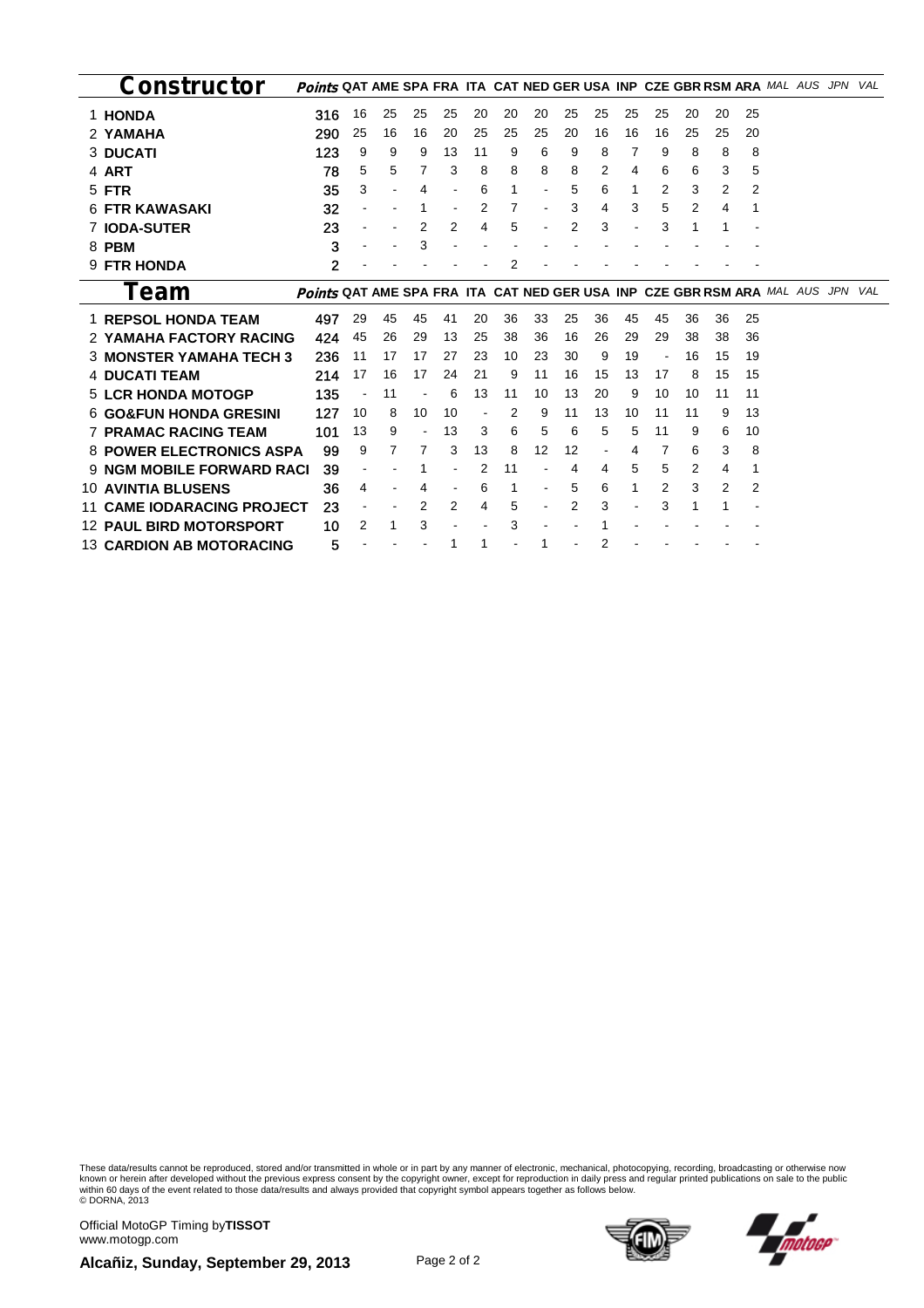| Constructor                       | Points QAT AME SPA FRA ITA CAT NED GER USA INP CZE GBR RSM ARA MAL AUS JPN        |    |    |    |    |    |    |    |    |    |    |                          |    |    |    |  | VAL |
|-----------------------------------|-----------------------------------------------------------------------------------|----|----|----|----|----|----|----|----|----|----|--------------------------|----|----|----|--|-----|
| 1 HONDA                           | 316                                                                               | 16 | 25 | 25 | 25 | 20 | 20 | 20 | 25 | 25 | 25 | 25                       | 20 | 20 | 25 |  |     |
| 2 YAMAHA                          | 290                                                                               | 25 | 16 | 16 | 20 | 25 | 25 | 25 | 20 | 16 | 16 | 16                       | 25 | 25 | 20 |  |     |
| <b>3 DUCATI</b>                   | 123                                                                               | 9  | 9  | 9  | 13 | 11 | 9  | 6  | 9  | 8  | 7  | 9                        | 8  | 8  | 8  |  |     |
| 4 ART                             | 78                                                                                | 5  | 5  | 7  | 3  | 8  | 8  | 8  | 8  | 2  | 4  | 6                        | 6  | 3  | 5  |  |     |
| 5 FTR                             | 35                                                                                | 3  |    | 4  |    | 6  | 1  |    | 5  | 6  | 1  | 2                        | 3  | 2  | 2  |  |     |
| <b>6 FTR KAWASAKI</b>             | 32                                                                                |    |    |    |    | 2  | 7  |    | 3  | 4  | 3  | 5                        | 2  | 4  |    |  |     |
| <b>IODA-SUTER</b>                 | 23                                                                                |    |    | 2  | 2  | 4  | 5  |    | 2  | 3  |    | 3                        | 1  |    |    |  |     |
| 8 PBM                             | 3                                                                                 |    |    | 3  |    |    |    |    |    |    |    |                          |    |    |    |  |     |
| 9 FTR HONDA                       | $\mathbf{2}$                                                                      |    |    |    |    |    | 2  |    |    |    |    |                          |    |    |    |  |     |
| Team                              | <b>Points QAT AME SPA FRA ITA CAT NED GER USA INP CZE GBR RSM ARA MAL AUS JPN</b> |    |    |    |    |    |    |    |    |    |    |                          |    |    |    |  | VAL |
| <b>1 REPSOL HONDA TEAM</b>        | 497                                                                               | 29 | 45 | 45 | 41 | 20 | 36 | 33 | 25 | 36 | 45 | 45                       | 36 | 36 | 25 |  |     |
| 2 YAMAHA FACTORY RACING           | 424                                                                               | 45 | 26 | 29 | 13 | 25 | 38 | 36 | 16 | 26 | 29 | 29                       | 38 | 38 | 36 |  |     |
| <b>3 MONSTER YAMAHA TECH 3</b>    | 236                                                                               | 11 | 17 | 17 | 27 | 23 | 10 | 23 | 30 | 9  | 19 | $\overline{\phantom{a}}$ | 16 | 15 | 19 |  |     |
| <b>4 DUCATI TEAM</b>              | 214                                                                               | 17 | 16 | 17 | 24 | 21 | 9  | 11 | 16 | 15 | 13 | 17                       | 8  | 15 | 15 |  |     |
| <b>5 LCR HONDA MOTOGP</b>         | 135                                                                               |    | 11 |    | 6  | 13 | 11 | 10 | 13 | 20 | 9  | 10                       | 10 | 11 | 11 |  |     |
| <b>6 GO&amp;FUN HONDA GRESINI</b> | 127                                                                               | 10 | 8  | 10 | 10 |    | 2  | 9  | 11 | 13 | 10 | 11                       | 11 | 9  | 13 |  |     |
| <b>7 PRAMAC RACING TEAM</b>       | 101                                                                               | 13 | 9  |    | 13 | 3  | 6  | 5  | 6  | 5  | 5  | 11                       | 9  | 6  | 10 |  |     |
| <b>8 POWER ELECTRONICS ASPA</b>   | 99                                                                                | 9  |    | 7  | 3  | 13 | 8  | 12 | 12 |    | 4  | 7                        | 6  | 3  | 8  |  |     |
| <b>9 NGM MOBILE FORWARD RACI</b>  | 39                                                                                |    |    |    |    | 2  | 11 |    | 4  | 4  | 5  | 5                        | 2  | 4  |    |  |     |
| <b>10 AVINTIA BLUSENS</b>         | 36                                                                                | 4  |    | 4  |    | 6  | 1  |    | 5  | 6  | 1  | 2                        | 3  | 2  | 2  |  |     |
| <b>CAME IODARACING PROJECT</b>    | 23                                                                                |    |    | 2  | 2  | 4  | 5  |    | 2  | 3  |    | 3                        |    |    |    |  |     |
| <b>12 PAUL BIRD MOTORSPORT</b>    | 10                                                                                | 2  | 1  | 3  |    |    | 3  |    |    |    |    |                          |    |    |    |  |     |
| <b>13 CARDION AB MOTORACING</b>   | 5                                                                                 |    |    |    |    |    |    |    |    | 2  |    |                          |    |    |    |  |     |

These data/results cannot be reproduced, stored and/or transmitted in whole or in part by any manner of electronic, mechanical, photocopying, recording, broadcasting or otherwise now<br>wiown or herein after developed without

Official MotoGP Timing by **TISSOT**www.motogp.com





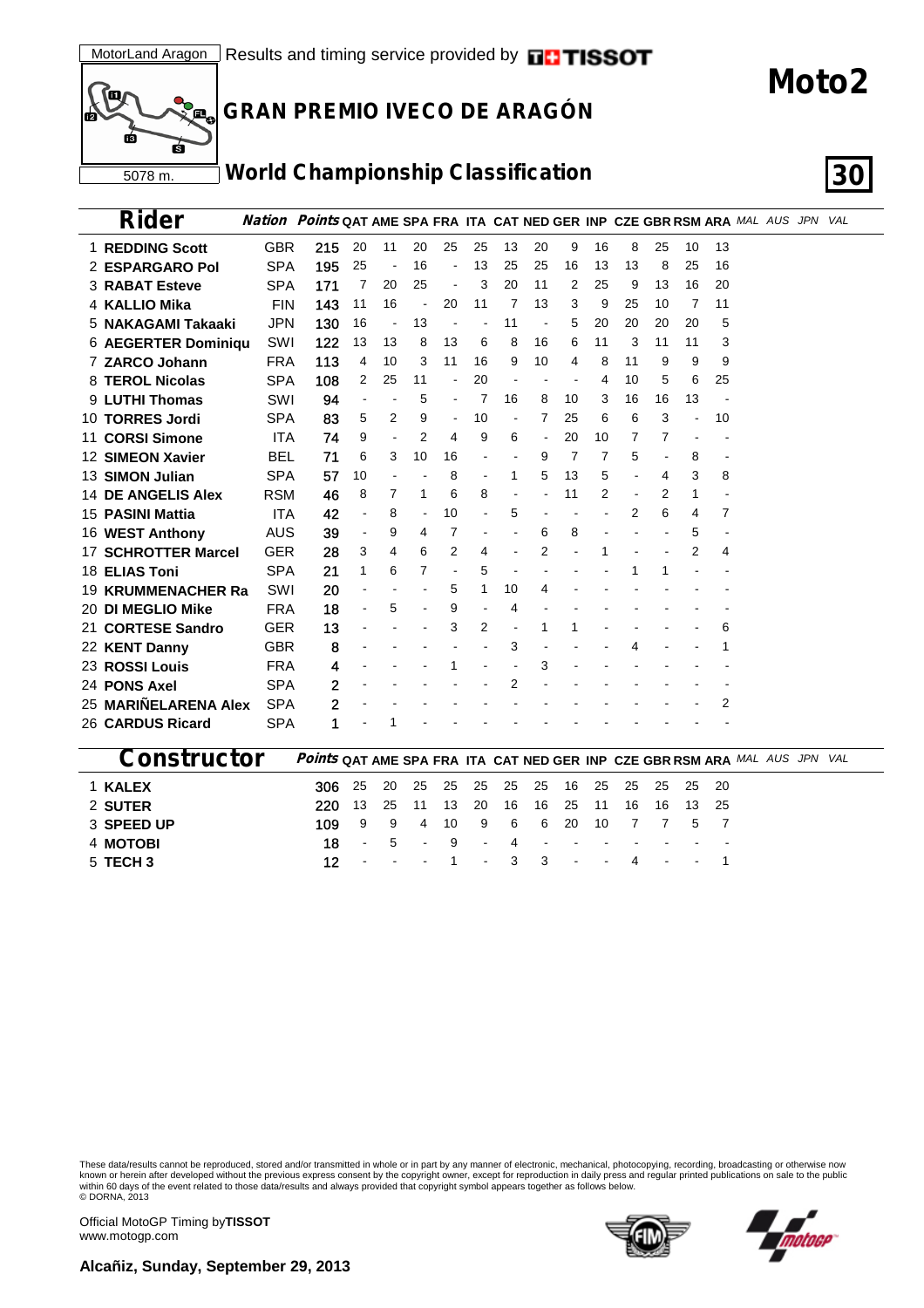

### **GRAN PREMIO IVECO DE ARAGÓN**

## **World Championship Classification 30**

| Rider                      |            | <b>Nation Points QAT AME SPA FRA ITA CAT NED GER INP CZE GBR RSM ARA MAL AUS JPN VAL</b> |    |    |                |                          |                |    |                |    |    |    |    |                |    |  |  |
|----------------------------|------------|------------------------------------------------------------------------------------------|----|----|----------------|--------------------------|----------------|----|----------------|----|----|----|----|----------------|----|--|--|
| 1 REDDING Scott            | <b>GBR</b> | 215                                                                                      | 20 | 11 | 20             | 25                       | 25             | 13 | 20             | 9  | 16 | 8  | 25 | 10             | 13 |  |  |
| 2 ESPARGARO Pol            | <b>SPA</b> | 195                                                                                      | 25 |    | 16             |                          | 13             | 25 | 25             | 16 | 13 | 13 | 8  | 25             | 16 |  |  |
| <b>3 RABAT Esteve</b>      | <b>SPA</b> | 171                                                                                      | 7  | 20 | 25             |                          | 3              | 20 | 11             | 2  | 25 | 9  | 13 | 16             | 20 |  |  |
| 4 KALLIO Mika              | <b>FIN</b> | 143                                                                                      | 11 | 16 |                | 20                       | 11             | 7  | 13             | 3  | 9  | 25 | 10 | 7              | 11 |  |  |
| 5 NAKAGAMI Takaaki         | <b>JPN</b> | 130                                                                                      | 16 |    | 13             |                          |                | 11 | $\overline{a}$ | 5  | 20 | 20 | 20 | 20             | 5  |  |  |
| 6 AEGERTER Dominiqu        | SWI        | 122                                                                                      | 13 | 13 | 8              | 13                       | 6              | 8  | 16             | 6  | 11 | 3  | 11 | 11             | 3  |  |  |
| 7 ZARCO Johann             | <b>FRA</b> | 113                                                                                      | 4  | 10 | 3              | 11                       | 16             | 9  | 10             | 4  | 8  | 11 | 9  | 9              | 9  |  |  |
| 8 TEROL Nicolas            | SPA        | 108                                                                                      | 2  | 25 | 11             |                          | 20             |    |                |    | 4  | 10 | 5  | 6              | 25 |  |  |
| 9 LUTHI Thomas             | SWI        | 94                                                                                       |    |    | 5              | $\overline{\phantom{a}}$ | 7              | 16 | 8              | 10 | 3  | 16 | 16 | 13             |    |  |  |
| 10 TORRES Jordi            | <b>SPA</b> | 83                                                                                       | 5  | 2  | 9              | $\blacksquare$           | 10             |    | 7              | 25 | 6  | 6  | 3  | $\overline{a}$ | 10 |  |  |
| 11 CORSI Simone            | <b>ITA</b> | 74                                                                                       | 9  |    | 2              | 4                        | 9              | 6  |                | 20 | 10 | 7  | 7  |                |    |  |  |
| 12 SIMEON Xavier           | <b>BEL</b> | 71                                                                                       | 6  | 3  | 10             | 16                       |                |    | 9              | 7  | 7  | 5  |    | 8              |    |  |  |
| 13 SIMON Julian            | <b>SPA</b> | 57                                                                                       | 10 |    |                | 8                        |                | 1  | 5              | 13 | 5  |    | 4  | 3              | 8  |  |  |
| <b>14 DE ANGELIS Alex</b>  | <b>RSM</b> | 46                                                                                       | 8  | 7  | 1              | 6                        | 8              |    |                | 11 | 2  |    | 2  | 1              |    |  |  |
| 15 PASINI Mattia           | <b>ITA</b> | 42                                                                                       |    | 8  | $\blacksquare$ | 10                       |                | 5  |                |    |    | 2  | 6  | 4              | 7  |  |  |
| 16 WEST Anthony            | <b>AUS</b> | 39                                                                                       |    | 9  | 4              | 7                        |                |    | 6              | 8  |    |    |    | 5              |    |  |  |
| <b>17 SCHROTTER Marcel</b> | <b>GER</b> | 28                                                                                       | 3  | 4  | 6              | 2                        | 4              |    | 2              |    |    |    |    | 2              | 4  |  |  |
| 18 ELIAS Toni              | <b>SPA</b> | 21                                                                                       | 1  | 6  | 7              |                          | 5              |    |                |    |    |    |    |                |    |  |  |
| <b>19 KRUMMENACHER Ra</b>  | SWI        | 20                                                                                       |    |    |                | 5                        | 1              | 10 | 4              |    |    |    |    |                |    |  |  |
| <b>20 DI MEGLIO Mike</b>   | <b>FRA</b> | 18                                                                                       |    | 5  |                | 9                        | $\blacksquare$ | 4  |                |    |    |    |    |                |    |  |  |
| 21 CORTESE Sandro          | <b>GER</b> | 13                                                                                       |    |    |                | 3                        | 2              |    |                |    |    |    |    |                | 6  |  |  |
| 22 KENT Danny              | <b>GBR</b> | 8                                                                                        |    |    |                |                          |                | 3  |                |    |    |    |    |                |    |  |  |
| 23 ROSSI Louis             | <b>FRA</b> | 4                                                                                        |    |    |                |                          |                |    | 3              |    |    |    |    |                |    |  |  |
| 24 PONS Axel               | <b>SPA</b> | 2                                                                                        |    |    |                |                          |                | 2  |                |    |    |    |    |                |    |  |  |
| 25 MARIÑELARENA Alex       | <b>SPA</b> | 2                                                                                        |    |    |                |                          |                |    |                |    |    |    |    |                | 2  |  |  |
| 26 CARDUS Ricard           | <b>SPA</b> | 1                                                                                        |    |    |                |                          |                |    |                |    |    |    |    |                |    |  |  |
|                            |            |                                                                                          |    |    |                |                          |                |    |                |    |    |    |    |                |    |  |  |

| <b>CONSTRUCTOR</b> Points QAT AME SPA FRA ITA CAT NED GER INP CZE GBR RSM ARA MAL AUS JPN VAL |                                                   |  |  |  |  |  |                                |  |  |  |  |
|-----------------------------------------------------------------------------------------------|---------------------------------------------------|--|--|--|--|--|--------------------------------|--|--|--|--|
| <b>1 KALEX</b>                                                                                | <b>306</b> 25 20 25 25 25 25 25 16 25 25 25 25 20 |  |  |  |  |  |                                |  |  |  |  |
| 2 SUTER                                                                                       | <b>220</b> 13 25 11 13 20 16 16 25 11 16 16 13 25 |  |  |  |  |  |                                |  |  |  |  |
| 3 SPEED UP                                                                                    | 109 9 9 4 10 9 6 6 20 10 7 7 5 7                  |  |  |  |  |  |                                |  |  |  |  |
| 4 MOTOBI                                                                                      |                                                   |  |  |  |  |  | 18 - 5 - 9 - 4 - - - - - - - - |  |  |  |  |
| 5 TECH 3                                                                                      |                                                   |  |  |  |  |  | 12 $-1$ $-3$ $3$ $-4$ $-1$     |  |  |  |  |

These data/results cannot be reproduced, stored and/or transmitted in whole or in part by any manner of electronic, mechanical, photocopying, recording, broadcasting or otherwise now<br>known or herein after developed without © DORNA, 2013

Official MotoGP Timing by **TISSOT**www.motogp.com

**Alcañiz, Sunday, September 29, 2013**



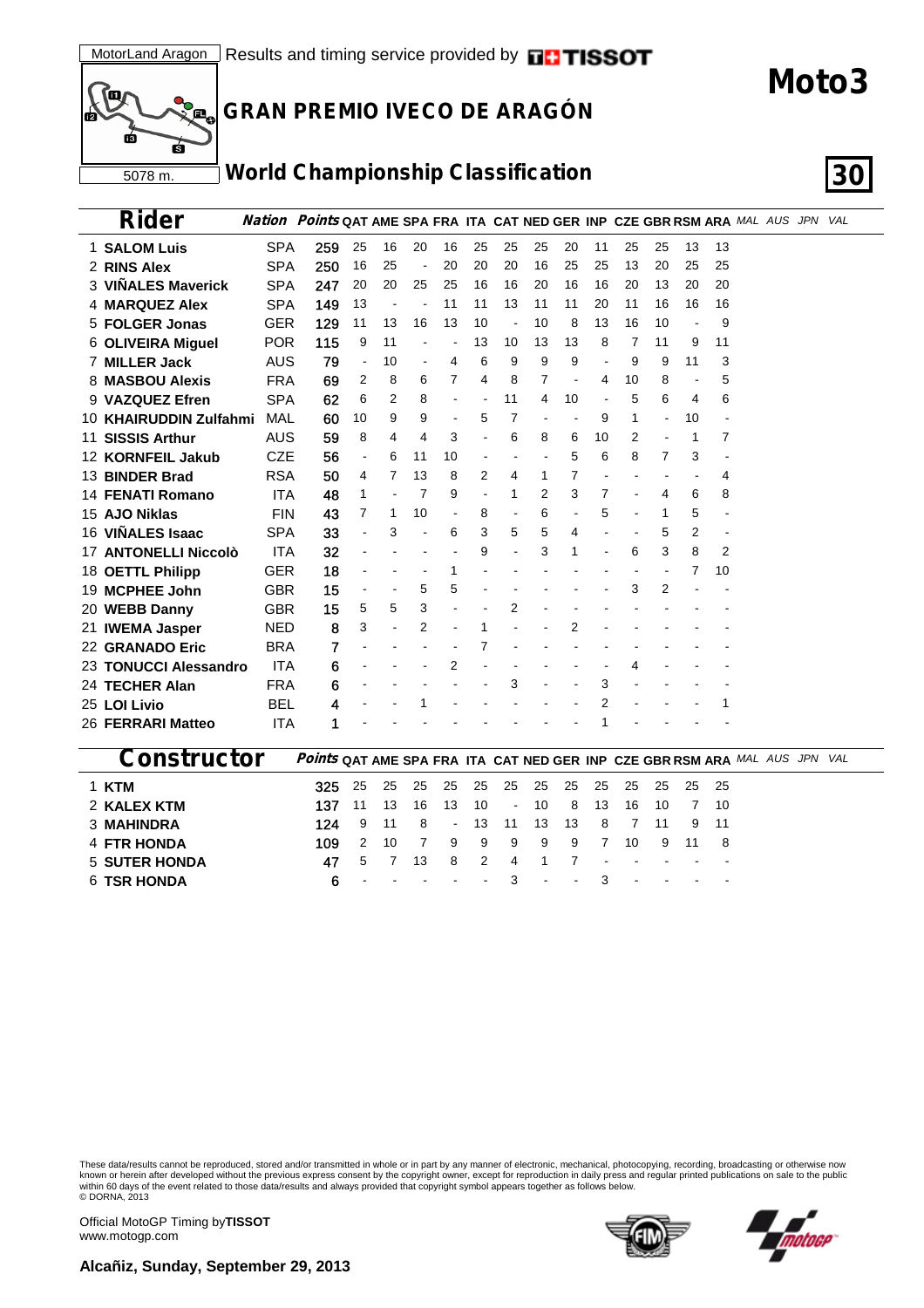

### **GRAN PREMIO IVECO DE ARAGÓN**

## **World Championship Classification 30**

| Rider                   |            | <b>Nation Points QAT AME SPA FRA ITA CAT NED GER INP CZE GBR RSM ARA</b> MAL AUS JPN VAL |                          |    |                          |                          |                          |                |    |    |    |    |    |                          |    |  |  |  |
|-------------------------|------------|------------------------------------------------------------------------------------------|--------------------------|----|--------------------------|--------------------------|--------------------------|----------------|----|----|----|----|----|--------------------------|----|--|--|--|
| 1 SALOM Luis            | <b>SPA</b> | 259                                                                                      | 25                       | 16 | 20                       | 16                       | 25                       | 25             | 25 | 20 | 11 | 25 | 25 | 13                       | 13 |  |  |  |
| 2 RINS Alex             | <b>SPA</b> | 250                                                                                      | 16                       | 25 | $\overline{\phantom{a}}$ | 20                       | 20                       | 20             | 16 | 25 | 25 | 13 | 20 | 25                       | 25 |  |  |  |
| 3 VIÑALES Maverick      | <b>SPA</b> | 247                                                                                      | 20                       | 20 | 25                       | 25                       | 16                       | 16             | 20 | 16 | 16 | 20 | 13 | 20                       | 20 |  |  |  |
| <b>4 MARQUEZ Alex</b>   | <b>SPA</b> | 149                                                                                      | 13                       |    |                          | 11                       | 11                       | 13             | 11 | 11 | 20 | 11 | 16 | 16                       | 16 |  |  |  |
| 5 FOLGER Jonas          | <b>GER</b> | 129                                                                                      | 11                       | 13 | 16                       | 13                       | 10                       |                | 10 | 8  | 13 | 16 | 10 | $\overline{\phantom{a}}$ | 9  |  |  |  |
| 6 OLIVEIRA Miguel       | <b>POR</b> | 115                                                                                      | 9                        | 11 |                          |                          | 13                       | 10             | 13 | 13 | 8  | 7  | 11 | 9                        | 11 |  |  |  |
| 7 MILLER Jack           | <b>AUS</b> | 79                                                                                       |                          | 10 |                          | 4                        | 6                        | 9              | 9  | 9  |    | 9  | 9  | 11                       | 3  |  |  |  |
| 8 MASBOU Alexis         | <b>FRA</b> | 69                                                                                       | 2                        | 8  | 6                        | 7                        | 4                        | 8              | 7  |    | 4  | 10 | 8  | $\overline{\phantom{a}}$ | 5  |  |  |  |
| 9 VAZQUEZ Efren         | <b>SPA</b> | 62                                                                                       | 6                        | 2  | 8                        |                          |                          | 11             | 4  | 10 |    | 5  | 6  | 4                        | 6  |  |  |  |
| 10 KHAIRUDDIN Zulfahmi  | <b>MAL</b> | 60                                                                                       | 10                       | 9  | 9                        | $\overline{\phantom{a}}$ | 5                        | 7              |    |    | 9  | 1  |    | 10                       |    |  |  |  |
| 11 SISSIS Arthur        | <b>AUS</b> | 59                                                                                       | 8                        | 4  | 4                        | 3                        | $\overline{\phantom{a}}$ | 6              | 8  | 6  | 10 | 2  |    | -1                       | 7  |  |  |  |
| 12 KORNFEIL Jakub       | <b>CZE</b> | 56                                                                                       | $\overline{\phantom{a}}$ | 6  | 11                       | 10                       |                          |                |    | 5  | 6  | 8  | 7  | 3                        |    |  |  |  |
| 13 BINDER Brad          | <b>RSA</b> | 50                                                                                       | 4                        | 7  | 13                       | 8                        | 2                        | 4              | 1  | 7  |    |    |    |                          | 4  |  |  |  |
| <b>14 FENATI Romano</b> | <b>ITA</b> | 48                                                                                       | 1                        |    | 7                        | 9                        | $\overline{\phantom{a}}$ | 1              | 2  | 3  | 7  |    | 4  | 6                        | 8  |  |  |  |
| 15 AJO Niklas           | <b>FIN</b> | 43                                                                                       | 7                        | 1  | 10                       |                          | 8                        |                | 6  |    | 5  |    | 1  | 5                        |    |  |  |  |
| 16 VIÑALES Isaac        | <b>SPA</b> | 33                                                                                       |                          | 3  |                          | 6                        | 3                        | 5              | 5  | 4  |    |    | 5  | 2                        |    |  |  |  |
| 17 ANTONELLI Niccolò    | <b>ITA</b> | 32                                                                                       |                          |    |                          |                          | 9                        |                | 3  | 1  |    | 6  | 3  | 8                        | 2  |  |  |  |
| 18 OETTL Philipp        | <b>GER</b> | 18                                                                                       |                          |    |                          | 1                        |                          |                |    |    |    |    |    | 7                        | 10 |  |  |  |
| 19 MCPHEE John          | <b>GBR</b> | 15                                                                                       |                          |    | 5                        | 5                        |                          |                |    |    |    | 3  | 2  |                          |    |  |  |  |
| 20 WEBB Danny           | <b>GBR</b> | 15                                                                                       | 5                        | 5  | 3                        |                          |                          | $\overline{2}$ |    |    |    |    |    |                          |    |  |  |  |
| 21 IWEMA Jasper         | <b>NED</b> | 8                                                                                        | 3                        |    | 2                        |                          |                          |                |    | 2  |    |    |    |                          |    |  |  |  |
| 22 GRANADO Eric         | <b>BRA</b> | 7                                                                                        |                          |    |                          |                          |                          |                |    |    |    |    |    |                          |    |  |  |  |
| 23 TONUCCI Alessandro   | <b>ITA</b> | 6                                                                                        |                          |    |                          | 2                        |                          |                |    |    |    | 4  |    |                          |    |  |  |  |
| 24 TECHER Alan          | <b>FRA</b> | 6                                                                                        |                          |    |                          |                          |                          | 3              |    |    | 3  |    |    |                          |    |  |  |  |
| 25 LOI Livio            | BEL        | 4                                                                                        |                          |    |                          |                          |                          |                |    |    | 2  |    |    |                          |    |  |  |  |
| 26 FERRARI Matteo       | <b>ITA</b> | 1                                                                                        |                          |    |                          |                          |                          |                |    |    |    |    |    |                          |    |  |  |  |
|                         |            |                                                                                          |                          |    |                          |                          |                          |                |    |    |    |    |    |                          |    |  |  |  |

| <b>Constructor</b> | <b>Points QAT AME SPA FRA ITA CAT NED GER INP CZE GBR RSM ARA MAL AUS JPN VAL</b> |                                     |  |  |                    |  |                                   |      |  |  |  |
|--------------------|-----------------------------------------------------------------------------------|-------------------------------------|--|--|--------------------|--|-----------------------------------|------|--|--|--|
| 1 KTM              |                                                                                   |                                     |  |  |                    |  |                                   |      |  |  |  |
| 2 KALEX KTM        | 137 11                                                                            | - 13                                |  |  | 16 13 10 - 10 8 13 |  | 16 10                             | 7 10 |  |  |  |
| <b>3 MAHINDRA</b>  | 124 9 11 8 - 13 11 13 13 8 7 11 9 11                                              |                                     |  |  |                    |  |                                   |      |  |  |  |
| 4 FTR HONDA        | 109 2 10 7 9 9 9 9 9 7 10 9 11 8                                                  |                                     |  |  |                    |  |                                   |      |  |  |  |
| 5 SUTER HONDA      |                                                                                   | 47 5 7                              |  |  | 13 8 2 4 1 7       |  | the company of the company of the |      |  |  |  |
| <b>6 TSR HONDA</b> |                                                                                   | $6 \cdot \cdot \cdot \cdot \cdot 3$ |  |  | $  -$ 3 $   -$     |  |                                   |      |  |  |  |

These data/results cannot be reproduced, stored and/or transmitted in whole or in part by any manner of electronic, mechanical, photocopying, recording, broadcasting or otherwise now<br>known or herein after developed without © DORNA, 2013

Official MotoGP Timing by **TISSOT**www.motogp.com

**Alcañiz, Sunday, September 29, 2013**